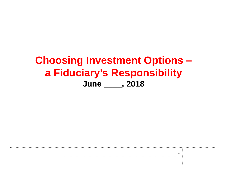#### **Choosing Investment Options** a Fiduciary's Responsibility June \_\_\_\_\_, 2018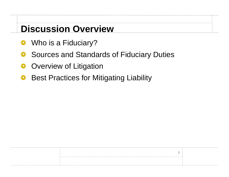#### **Discussion Overview**

- Who is a Fiduciary? €
- Sources and Standards of Fiduciary Duties
- **Overview of Litigation**
- Best Practices for Mitigating Liability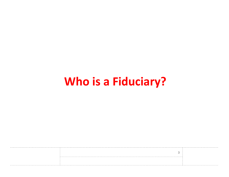# **Who is a Fiduciary?**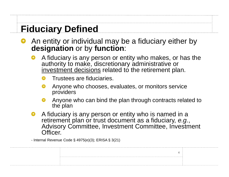#### **Fiduciary Defined**

- An entity or individual may be a fiduciary either by **designation** or by **function**:
	- A fiduciary is any person or entity who makes, or has the authority to make, discretionary administrative or investment decisions related to the retirement plan.
		- Trustees are fiduciaries.
		- Anyone who chooses, evaluates, or monitors service providers
		- Anyone who can bind the plan through contracts related to the plan
	- A fiduciary is any person or entity who is named in a retirement plan or trust document as a fiduciary, *e.g.*, Advisory Committee, Investment Committee, Investment Officer.

- Internal Revenue Code § 4975(e)(3); ERISA § 3(21)

 $\Lambda$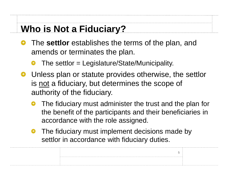### **Who is Not a Fiduciary?**

- The **settlor** establishes the terms of the plan, and amends or terminates the plan.
	- The settlor = Legislature/State/Municipality.
- **•** Unless plan or statute provides otherwise, the settlor is not a fiduciary, but determines the scope of authority of the fiduciary.
	- The fiduciary must administer the trust and the plan for the benefit of the participants and their beneficiaries in accordance with the role assigned.
	- **•** The fiduciary must implement decisions made by settlor in accordance with fiduciary duties.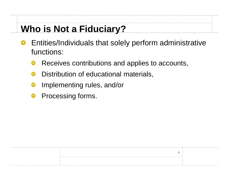## **Who is Not a Fiduciary?**

- Entities/Individuals that solely perform administrative functions:
	- Receives contributions and applies to accounts,
	- Distribution of educational materials,
	- Implementing rules, and/or
	- Processing forms. €

|  | . |
|--|---|
|  |   |
|  |   |
|  |   |
|  |   |
|  |   |
|  |   |
|  |   |
|  |   |
|  |   |
|  |   |
|  |   |
|  |   |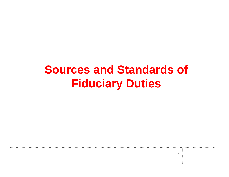## **Sources and Standards of Fiduciary Duties**

. . . . . . . . . . . . .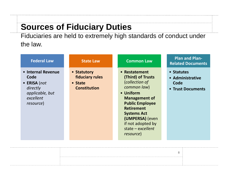#### **Sources of Fiduciary Duties**

Fiduciaries are held to extremely high standards of conduct under the law.

| <b>Federal Law</b>                                                                                          | <b>State Law</b>                                                        | <b>Common Law</b>                                                                                                                                                                                                                                         | <b>Plan and Plan-</b><br><b>Related Documents</b>           |
|-------------------------------------------------------------------------------------------------------------|-------------------------------------------------------------------------|-----------------------------------------------------------------------------------------------------------------------------------------------------------------------------------------------------------------------------------------------------------|-------------------------------------------------------------|
| • Internal Revenue<br>Code<br>$\bullet$ ERISA (not<br>directly<br>applicable, but<br>excellent<br>resource) | • Statutory<br><b>fiduciary rules</b><br>• State<br><b>Constitution</b> | • Restatement<br>(Third) of Trusts<br>(collection of<br>common law)<br>• Uniform<br><b>Management of</b><br><b>Public Employee</b><br><b>Retirement</b><br><b>Systems Act</b><br>(UMPERSA) (even<br>if not adopted by<br>state $-$ excellent<br>resource) | • Statutes<br>• Administrative<br>Code<br>• Trust Documents |

 $\mathsf{R}$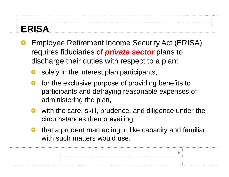#### **ERISA**

- Employee Retirement Income Security Act (ERISA) requires fiduciaries of *private sector* plans to discharge their duties with respect to a plan:
	- solely in the interest plan participants,
	- for the exclusive purpose of providing benefits to participants and defraying reasonable expenses of administering the plan,
	- with the care, skill, prudence, and diligence under the circumstances then prevailing,
	- that a prudent man acting in like capacity and familiar with such matters would use.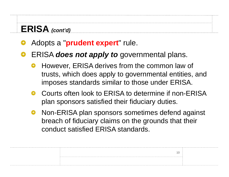### **ERISA** *(cont'd)*

Adopts a "**prudent expert**" rule.

#### ERISA *does not apply to* governmental plans.

- However, ERISA derives from the common law of trusts, which does apply to governmental entities, and imposes standards similar to those under ERISA.
- **O** Courts often look to ERISA to determine if non-ERISA plan sponsors satisfied their fiduciary duties.
- **Non-ERISA plan sponsors sometimes defend against** breach of fiduciary claims on the grounds that their conduct satisfied ERISA standards.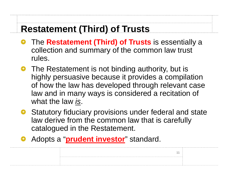### **Restatement (Third) of Trusts**

- **•** The **Restatement (Third) of Trusts** is essentially a collection and summary of the common law trust rules.
- The Restatement is not binding authority, but is highly persuasive because it provides a compilation of how the law has developed through relevant case law and in many ways is considered a recitation of what the law *is*.
- **•** Statutory fiduciary provisions under federal and state law derive from the common law that is carefully catalogued in the Restatement.
- Adopts a "**prudent investor**" standard.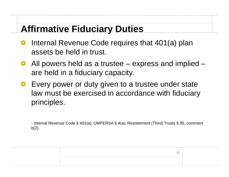#### **Affirmative Fiduciary Duties**

- Internal Revenue Code requires that 401(a) plan assets be held in trust.
- All powers held as a trustee express and implied are held in a fiduciary capacity.
- Every power or duty given to a trustee under state law must be exercised in accordance with fiduciary principles.

*-* Internal Revenue Code § 401(a); UMPERSA § 4(a); Restatement (Third) Trusts § 85, comment  $b(2)$ 

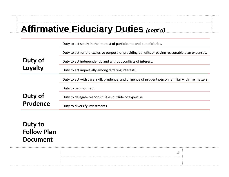#### **Affirmative Fiduciary Duties** *(cont'd)*

|         | Duty to act solely in the interest of participants and beneficiaries.                               |
|---------|-----------------------------------------------------------------------------------------------------|
|         | Duty to act for the exclusive purpose of providing benefits or paying reasonable plan expenses.     |
| Duty of | Duty to act independently and without conflicts of interest.                                        |
| Loyalty | Duty to act impartially among differing interests.                                                  |
|         | Duty to act with care, skill, prudence, and diligence of prudent person familiar with like matters. |
|         | Duty to be informed.                                                                                |
| Duty of |                                                                                                     |
|         | Duty to delegate responsibilities outside of expertise.                                             |

#### **Duty to Follow Plan Document**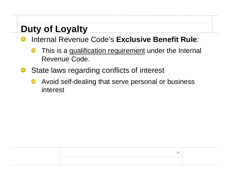## **Duty of Loyalty**

- Internal Revenue Code's **Exclusive Benefit Rule**:
	- This is a qualification requirement under the Internal Revenue Code.
- State laws regarding conflicts of interest
	- Avoid self-dealing that serve personal or business interest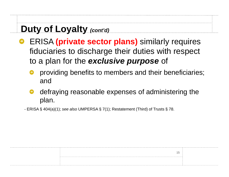## **Duty of Loyalty** *(cont'd)*

- **ERISA (private sector plans)** similarly requires fiduciaries to discharge their duties with respect to a plan for the *exclusive purpose* of
	- providing benefits to members and their beneficiaries; and
	- defraying reasonable expenses of administering the plan.

*-* ERISA § 404(a)(1); *see also* UMPERSA § 7(1); Restatement (Third) of Trusts § 78.

|  | . |
|--|---|
|  |   |
|  |   |
|  |   |
|  |   |
|  |   |
|  |   |
|  |   |
|  |   |
|  |   |
|  |   |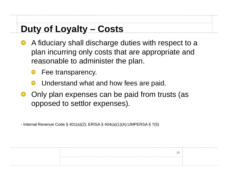## **Duty of Loyalty – Costs**

- A fiduciary shall discharge duties with respect to a plan incurring only costs that are appropriate and reasonable to administer the plan.
	- Fee transparency.
	- Understand what and how fees are paid.
- Only plan expenses can be paid from trusts (as opposed to settlor expenses).

16

- Internal Revenue Code § 401(a)(2); ERISA § 404(a)(1)(A);UMPERSA § 7(5)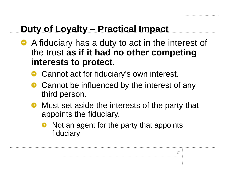#### **Duty of Loyalty – Practical Impact**

- A fiduciary has a duty to act in the interest of the trust **as if it had no other competing interests to protect**.
	- Cannot act for fiduciary's own interest.
	- Cannot be influenced by the interest of any third person.
	- **Must set aside the interests of the party that** appoints the fiduciary.
		- Not an agent for the party that appoints fiduciary

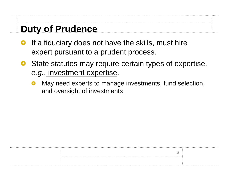#### **Duty of Prudence**

- If a fiduciary does not have the skills, must hire expert pursuant to a prudent process.
- State statutes may require certain types of expertise, *e.g.*, investment expertise.
	- May need experts to manage investments, fund selection, and oversight of investments

|  | . |
|--|---|
|  |   |
|  |   |
|  |   |
|  |   |
|  |   |
|  |   |
|  |   |
|  |   |
|  |   |
|  |   |
|  |   |
|  |   |
|  |   |
|  |   |
|  |   |
|  |   |
|  |   |
|  |   |
|  |   |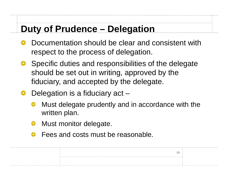#### **Duty of Prudence – Delegation**

- Documentation should be clear and consistent with respect to the process of delegation.
- **•** Specific duties and responsibilities of the delegate should be set out in writing, approved by the fiduciary, and accepted by the delegate.
- Delegation is a fiduciary act
	- Must delegate prudently and in accordance with the written plan.

- Must monitor delegate.
- Fees and costs must be reasonable.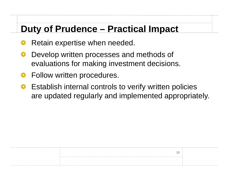#### **Duty of Prudence – Practical Impact**

- Retain expertise when needed.
- Develop written processes and methods of evaluations for making investment decisions.
- Follow written procedures.
- Establish internal controls to verify written policies are updated regularly and implemented appropriately.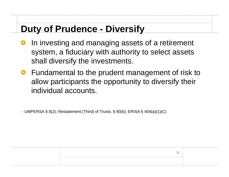#### **Duty of Prudence - Diversify**

- In investing and managing assets of a retirement system, a fiduciary with authority to select assets shall diversify the investments.
- **•** Fundamental to the prudent management of risk to allow participants the opportunity to diversify their individual accounts.

*-* UMPERSA § 8(2); Restatement (Third) of Trusts, § 90(b); ERISA § 404(a)(1)(C)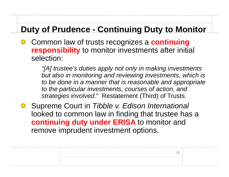#### **Duty of Prudence - Continuing Duty to Monitor**

Common law of trusts recognizes a **continuing responsibility** to monitor investments after initial selection:

> *"[A] trustee's duties apply not only in making investments but also in monitoring and reviewing investments, which is to be done in a manner that is reasonable and appropriate to the particular investments, courses of action, and strategies involved*." Restatement (Third) of Trusts.

> > 22

Supreme Court in *Tibble v. Edison International* looked to common law in finding that trustee has a **continuing duty under ERISA** to monitor and remove imprudent investment options.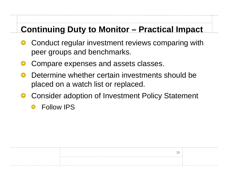#### **Continuing Duty to Monitor – Practical Impact**

- Conduct regular investment reviews comparing with peer groups and benchmarks.
- Compare expenses and assets classes.
- Determine whether certain investments should be placed on a watch list or replaced.
- Consider adoption of Investment Policy Statement

23

Follow IPS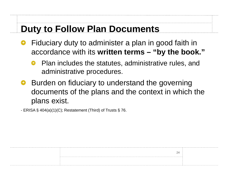#### **Duty to Follow Plan Documents**

- Fiduciary duty to administer a plan in good faith in accordance with its **written terms – "by the book."**
	- Plan includes the statutes, administrative rules, and administrative procedures.
- Burden on fiduciary to understand the governing documents of the plans and the context in which the plans exist.

- ERISA § 404(a)(1)(C); Restatement (Third) of Trusts § 76.

| ~ |  |
|---|--|
|   |  |
|   |  |
|   |  |
|   |  |
|   |  |
|   |  |
|   |  |
|   |  |
|   |  |
|   |  |
|   |  |
|   |  |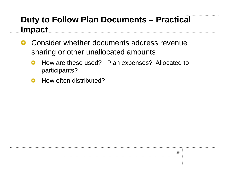#### **Duty to Follow Plan Documents – Practical Impact**

- Consider whether documents address revenue Θ sharing or other unallocated amounts
	- How are these used? Plan expenses? Allocated to ● participants?
	- How often distributed?

|   | . |
|---|---|
|   |   |
|   |   |
| ∼ |   |
|   |   |
|   |   |
|   |   |
|   |   |
|   |   |
|   |   |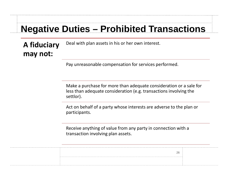#### **Negative Duties – Prohibited Transactions**

**A fiduciary m ay not:** Deal with plan assets in his or her own interest.

Pay unreasonable compensation for services performed.

Make a purchase for more than adequate consideration or a sale for less than adequate consideration (e.g. transactions involving the settlor).

Act on behalf of a party whose interests are adverse to the plan or participants.

Receive anything of value from any party in connection with a transaction involving plan assets.

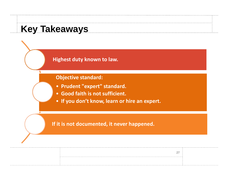#### **Key Takeaways**

Highest duty known to law.

#### **Objective standard:**

- Prudent "expert" standard.
- Good faith is not sufficient.
- . If you don't know, learn or hire an expert.

27

#### If it is not documented, it never happened.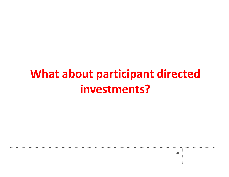# **What about participant directed** investments?

| $\sim$   |  |
|----------|--|
| <u>_</u> |  |
|          |  |
|          |  |
|          |  |
|          |  |
|          |  |
|          |  |
|          |  |
|          |  |
|          |  |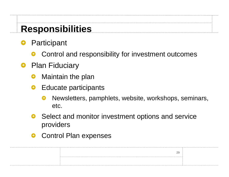#### **Responsibilities**

- Participant
	- Control and responsibility for investment outcomes
- **•** Plan Fiduciary
	- Maintain the plan
	- **•** Educate participants
		- Newsletters, pamphlets, website, workshops, seminars, etc.

- **•** Select and monitor investment options and service providers
- Control Plan expenses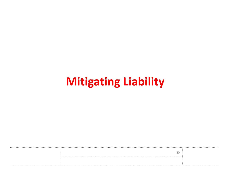# **Mitigating Liability**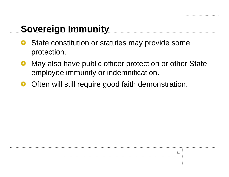## **Sovereign Immunity**

- State constitution or statutes may provide some protection.
- May also have public officer protection or other State employee immunity or indemnification.
- Often will still require good faith demonstration.

|  | . |
|--|---|
|  |   |
|  |   |
|  |   |
|  |   |
|  |   |
|  |   |
|  |   |
|  |   |
|  |   |
|  |   |
|  |   |
|  |   |
|  |   |
|  |   |
|  |   |
|  |   |
|  |   |
|  | . |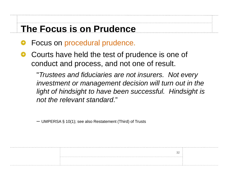#### **The Focus is on Prudence**

- Focus on procedural prudence.
- Courts have held the test of prudence is one of conduct and process, and not one of result.

"*Trustees and fiduciaries are not insurers. Not every investment or management decision will turn out in the light of hindsight to have been successful. Hindsight is not the relevant standard*."

32

– UMPERSA § 10(1); see also Restatement (Third) of Trusts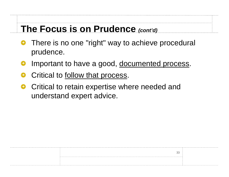#### **The Focus is on Prudence** *(cont'd)*

- There is no one "right" way to achieve procedural prudence.
- Important to have a good, documented process.
- Critical to follow that process.
- Critical to retain expertise where needed and understand expert advice.

| n r |  |
|-----|--|
| UU  |  |
|     |  |
|     |  |
|     |  |
|     |  |
|     |  |
|     |  |
|     |  |
|     |  |
|     |  |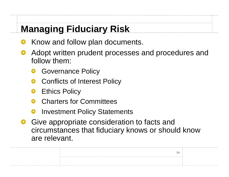## **Managing Fiduciary Risk**

- Know and follow plan documents.
- Adopt written prudent processes and procedures and follow them:
	- Governance Policy
	- Conflicts of Interest Policy
	- Ethics Policy

. . . . . . . . . . . . . . .

- Charters for Committees
- Investment Policy Statements
- Give appropriate consideration to facts and circumstances that fiduciary knows or should know are relevant.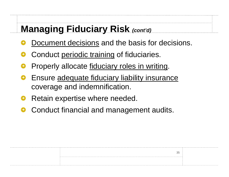#### **Managing Fiduciary Risk** *(cont'd)*

- Document decisions and the basis for decisions.
- Conduct periodic training of fiduciaries.
- Properly allocate fiduciary roles in writing.
- Ensure adequate fiduciary liability insurance coverage and indemnification.
- Retain expertise where needed.
- Conduct financial and management audits.

| . |
|---|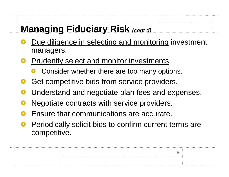### **Managing Fiduciary Risk** *(cont'd)*

- Due diligence in selecting and monitoring investment managers.
- **Pe Prudently select and monitor investments.** 
	- **O** Consider whether there are too many options.
- Get competitive bids from service providers.
- Understand and negotiate plan fees and expenses.
- Negotiate contracts with service providers.
- Ensure that communications are accurate.
- Periodically solicit bids to confirm current terms are competitive.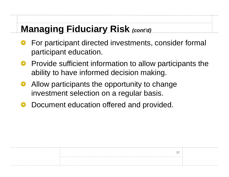#### **Managing Fiduciary Risk** *(cont'd)*

- For participant directed investments, consider formal participant education.
- **P** Provide sufficient information to allow participants the ability to have informed decision making.
- Allow participants the opportunity to change investment selection on a regular basis.
- Document education offered and provided.